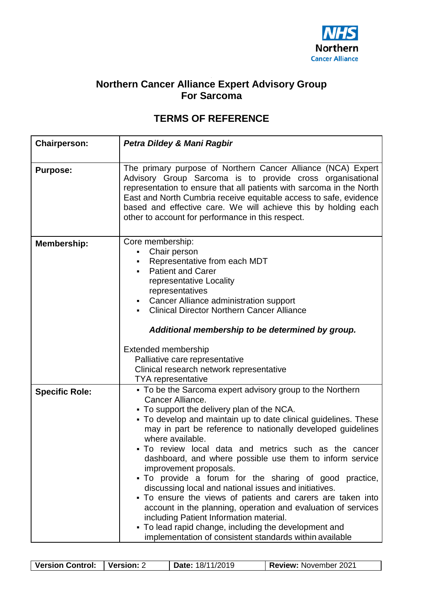

## **Northern Cancer Alliance Expert Advisory Group For Sarcoma**

## **TERMS OF REFERENCE**

| <b>Chairperson:</b>   | Petra Dildey & Mani Ragbir                                                                                                                                                                                                                                                                                                                                                                                                                                                                                                                                                                                                                                                                                                                                                                                                                         |  |  |
|-----------------------|----------------------------------------------------------------------------------------------------------------------------------------------------------------------------------------------------------------------------------------------------------------------------------------------------------------------------------------------------------------------------------------------------------------------------------------------------------------------------------------------------------------------------------------------------------------------------------------------------------------------------------------------------------------------------------------------------------------------------------------------------------------------------------------------------------------------------------------------------|--|--|
|                       |                                                                                                                                                                                                                                                                                                                                                                                                                                                                                                                                                                                                                                                                                                                                                                                                                                                    |  |  |
| <b>Purpose:</b>       | The primary purpose of Northern Cancer Alliance (NCA) Expert<br>Advisory Group Sarcoma is to provide cross organisational<br>representation to ensure that all patients with sarcoma in the North<br>East and North Cumbria receive equitable access to safe, evidence<br>based and effective care. We will achieve this by holding each<br>other to account for performance in this respect.                                                                                                                                                                                                                                                                                                                                                                                                                                                      |  |  |
| <b>Membership:</b>    | Core membership:<br>Chair person<br>Representative from each MDT<br><b>Patient and Carer</b><br>representative Locality<br>representatives<br>Cancer Alliance administration support<br><b>Clinical Director Northern Cancer Alliance</b><br>Additional membership to be determined by group.                                                                                                                                                                                                                                                                                                                                                                                                                                                                                                                                                      |  |  |
|                       | <b>Extended membership</b>                                                                                                                                                                                                                                                                                                                                                                                                                                                                                                                                                                                                                                                                                                                                                                                                                         |  |  |
|                       | Palliative care representative                                                                                                                                                                                                                                                                                                                                                                                                                                                                                                                                                                                                                                                                                                                                                                                                                     |  |  |
|                       | Clinical research network representative                                                                                                                                                                                                                                                                                                                                                                                                                                                                                                                                                                                                                                                                                                                                                                                                           |  |  |
|                       | <b>TYA</b> representative                                                                                                                                                                                                                                                                                                                                                                                                                                                                                                                                                                                                                                                                                                                                                                                                                          |  |  |
| <b>Specific Role:</b> | • To be the Sarcoma expert advisory group to the Northern<br>Cancer Alliance.<br>• To support the delivery plan of the NCA.<br>• To develop and maintain up to date clinical guidelines. These<br>may in part be reference to nationally developed guidelines<br>where available.<br>• To review local data and metrics such as the cancer<br>dashboard, and where possible use them to inform service<br>improvement proposals.<br>• To provide a forum for the sharing of good practice,<br>discussing local and national issues and initiatives.<br>• To ensure the views of patients and carers are taken into<br>account in the planning, operation and evaluation of services<br>including Patient Information material.<br>• To lead rapid change, including the development and<br>implementation of consistent standards within available |  |  |

| <b>Version Control:</b> | I Version: ∠ | <b>Date: 18/11/2019</b> | <b>Review: November 2021</b> |
|-------------------------|--------------|-------------------------|------------------------------|